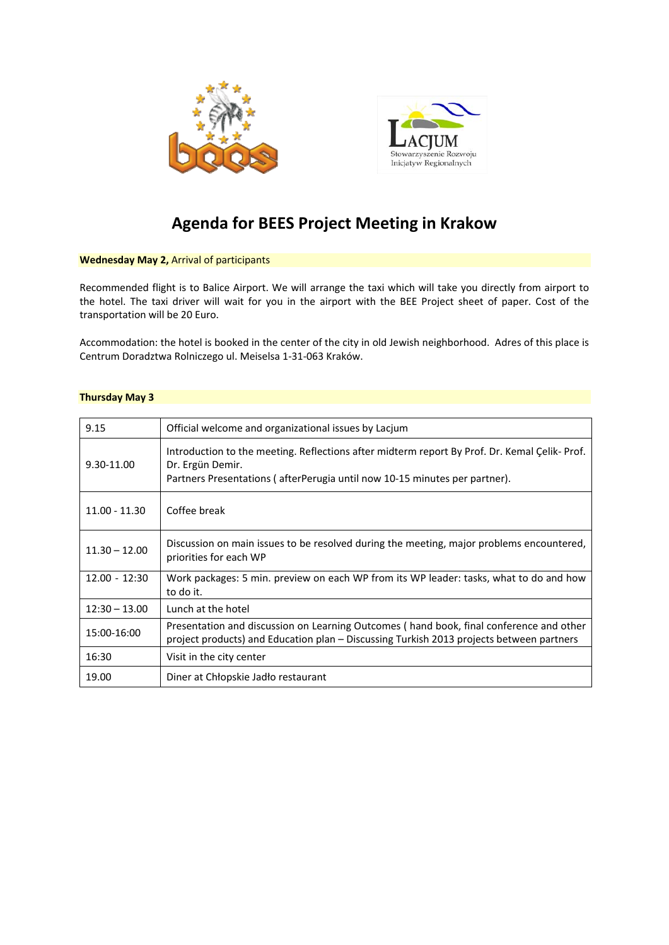



# **Agenda for BEES Project Meeting in Krakow**

## **Wednesday May 2,** Arrival of participants

Recommended flight is to Balice Airport. We will arrange the taxi which will take you directly from airport to the hotel. The taxi driver will wait for you in the airport with the BEE Project sheet of paper. Cost of the transportation will be 20 Euro.

Accommodation: the hotel is booked in the center of the city in old Jewish neighborhood. Adres of this place is Centrum Doradztwa Rolniczego ul. Meiselsa 1‐31‐063 Kraków.

## **Thursday May 3**

| 9.15            | Official welcome and organizational issues by Lacjum                                                                                                                                           |
|-----------------|------------------------------------------------------------------------------------------------------------------------------------------------------------------------------------------------|
| 9.30-11.00      | Introduction to the meeting. Reflections after midterm report By Prof. Dr. Kemal Çelik-Prof.<br>Dr. Ergün Demir.<br>Partners Presentations (afterPerugia until now 10-15 minutes per partner). |
| $11.00 - 11.30$ | Coffee break                                                                                                                                                                                   |
| $11.30 - 12.00$ | Discussion on main issues to be resolved during the meeting, major problems encountered,<br>priorities for each WP                                                                             |
| $12.00 - 12:30$ | Work packages: 5 min. preview on each WP from its WP leader: tasks, what to do and how<br>to do it.                                                                                            |
| $12:30 - 13.00$ | Lunch at the hotel                                                                                                                                                                             |
| 15:00-16:00     | Presentation and discussion on Learning Outcomes (hand book, final conference and other<br>project products) and Education plan – Discussing Turkish 2013 projects between partners            |
| 16:30           | Visit in the city center                                                                                                                                                                       |
| 19.00           | Diner at Chłopskie Jadło restaurant                                                                                                                                                            |